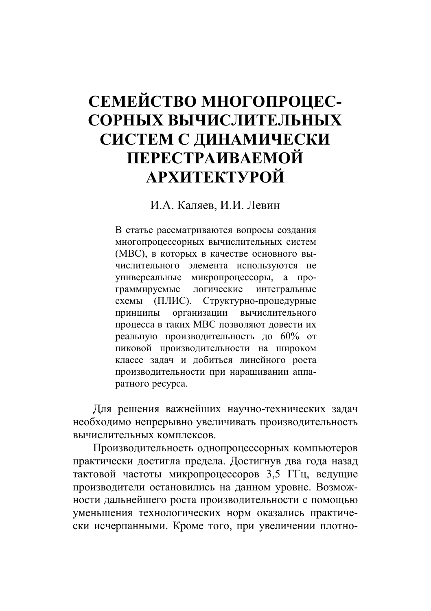## СЕМЕЙСТВО МНОГОПРОЦЕС-СОРНЫХ ВЫЧИСЛИТЕЛЬНЫХ СИСТЕМ С ДИНАМИЧЕСКИ ПЕРЕСТРАИВАЕМОЙ **АРХИТЕКТУРОЙ**

И.А. Каляев, И.И. Левин

В статье рассматриваются вопросы создания многопроцессорных вычислительных систем (МВС), в которых в качестве основного вычислительного элемента используются не универсальные микропроцессоры, а программируемые логические интегральные схемы (ПЛИС). Структурно-процедурные принципы организации вычислительного процесса в таких МВС позволяют довести их реальную производительность до 60% от пиковой производительности на широком классе задач и добиться линейного роста производительности при наращивании аппаратного ресурса.

Для решения важнейших научно-технических задач необходимо непрерывно увеличивать производительность вычислительных комплексов.

Производительность однопроцессорных компьютеров практически достигла предела. Достигнув два года назад тактовой частоты микропроцессоров 3.5 ГГц, ведущие производители остановились на данном уровне. Возможности дальнейшего роста производительности с помощью уменьшения технологических норм оказались практически исчерпанными. Кроме того, при увеличении плотно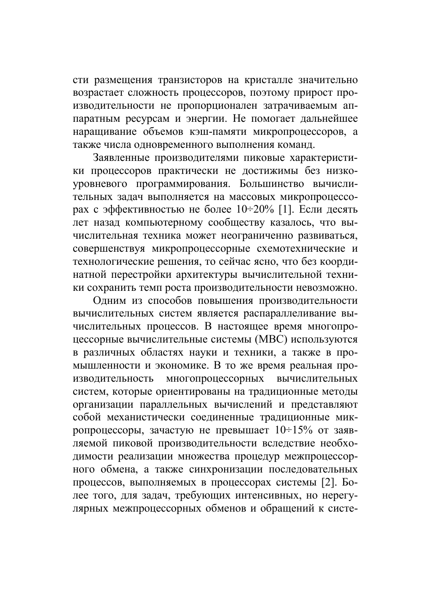сти размещения транзисторов на кристалле значительно возрастает сложность процессоров, поэтому прирост производительности не пропорционален затрачиваемым аппаратным ресурсам и энергии. Не помогает дальнейшее наращивание объемов кэш-памяти микропроцессоров, а также числа одновременного выполнения команд.

Заявленные производителями пиковые характеристики процессоров практически не достижимы без низкоуровневого программирования. Большинство вычислительных задач выполняется на массовых микропроцессорах с эффективностью не более 10÷20% [1]. Если десять лет назад компьютерному сообществу казалось, что вычислительная техника может неограниченно развиваться, совершенствуя микропроцессорные схемотехнические и технологические решения, то сейчас ясно, что без координатной перестройки архитектуры вычислительной техники сохранить темп роста производительности невозможно.

Одним из способов повышения производительности вычислительных систем является распараллеливание вычислительных процессов. В настоящее время многопроцессорные вычислительные системы (МВС) используются в различных областях науки и техники, а также в промышленности и экономике. В то же время реальная промногопроцессорных изволительность вычислительных систем, которые ориентированы на традиционные методы организации параллельных вычислений и представляют собой механистически соединенные традиционные микропроцессоры, зачастую не превышает  $10\div 15\%$  от заявляемой пиковой производительности вследствие необходимости реализации множества процедур межпроцессорного обмена, а также синхронизации последовательных процессов, выполняемых в процессорах системы [2]. Более того, для задач, требующих интенсивных, но нерегулярных межпроцессорных обменов и обращений к систе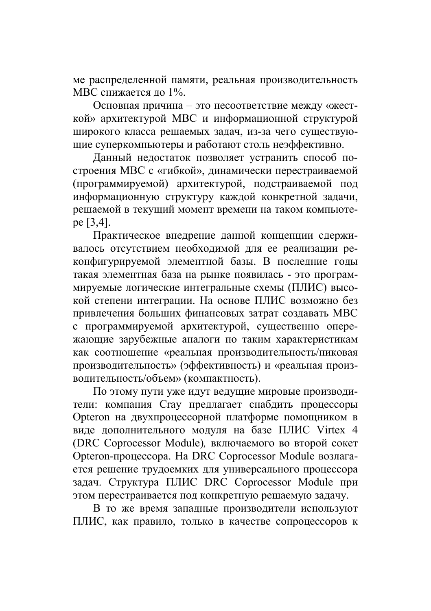ме распределенной памяти, реальная производительность МВС снижается до 1%.

Основная причина - это несоответствие между «жесткой» архитектурой MBC и информационной структурой широкого класса решаемых задач. из-за чего существуюшие суперкомпьютеры и работают столь неэффективно.

Данный недостаток позволяет устранить способ построения МВС с «гибкой», динамически перестраиваемой (программируемой) архитектурой, подстраиваемой под информационную структуру каждой конкретной задачи, решаемой в текущий момент времени на таком компьютеpe [3,4].

Практическое внедрение данной концепции сдерживалось отсутствием необходимой для ее реализации реконфигурируемой элементной базы. В последние годы такая элементная база на рынке появилась - это программируемые логические интегральные схемы (ПЛИС) высокой степени интеграции. На основе ПЛИС возможно без привлечения больших финансовых затрат создавать МВС с программируемой архитектурой, существенно опережающие зарубежные аналоги по таким характеристикам как соотношение «реальная производительность/пиковая производительность» (эффективность) и «реальная производительность/объем» (компактность).

По этому пути уже идут ведущие мировые производители: компания Стау предлагает снабдить процессоры Opteron на двухпроцессорной платформе помощником в виде дополнительного модуля на базе ПЛИС Virtex 4 (DRC Coprocessor Module), включаемого во второй сокет Opteron-процессора. На DRC Coprocessor Module возлагается решение трудоемких для универсального процессора задач. Структура ПЛИС DRC Coprocessor Module при этом перестраивается под конкретную решаемую задачу.

В то же время западные производители используют ПЛИС, как правило, только в качестве сопроцессоров к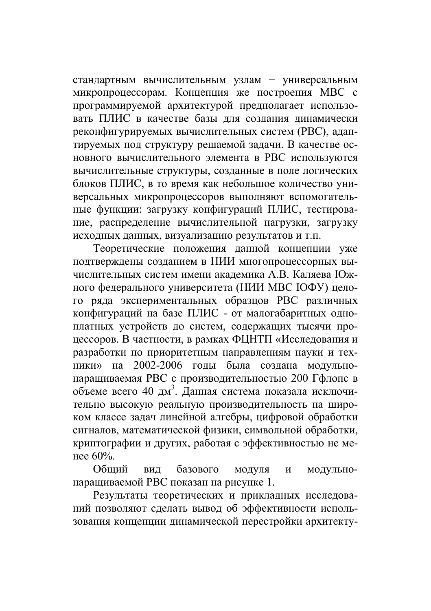стандартным вычислительным узлам - универсальным микропроцессорам. Концепция же построения МВС с программируемой архитектурой предполагает использовать ПЛИС в качестве базы для создания динамически реконфигурируемых вычислительных систем (РВС), алаптируемых под структуру решаемой задачи. В качестве основного вычислительного элемента в РВС используются вычислительные структуры, созданные в поле логических блоков ПЛИС, в то время как небольшое количество универсальных микропроцессоров выполняют вспомогательные функции: загрузку конфигураций ПЛИС, тестирование, распределение вычислительной нагрузки, загрузку исходных данных, визуализацию результатов и т.п.

Теоретические положения данной концепции уже подтверждены созданием в НИИ многопроцессорных вычислительных систем имени академика А.В. Каляева Южного федерального университета (НИИ МВС ЮФУ) целого ряда экспериментальных образцов РВС различных конфигураций на базе ПЛИС - от малогабаритных одноплатных устройств до систем, содержащих тысячи процессоров. В частности, в рамках ФЦНТП «Исследования и разработки по приоритетным направлениям науки и техники» на 2002-2006 годы была создана модульнонаращиваемая РВС с производительностью 200 Гфлопс в объеме всего 40 дм<sup>3</sup>. Данная система показала исключительно высокую реальную производительность на широком классе задач линейной алгебры, цифровой обработки сигналов, математической физики, символьной обработки, криптографии и других, работая с эффективностью не менее 60%.

Обший вил базового модуля  $\overline{M}$ модульнонаращиваемой РВС показан на рисунке 1.

Результаты теоретических и прикладных исследований позволяют сделать вывод об эффективности использования концепции динамической перестройки архитекту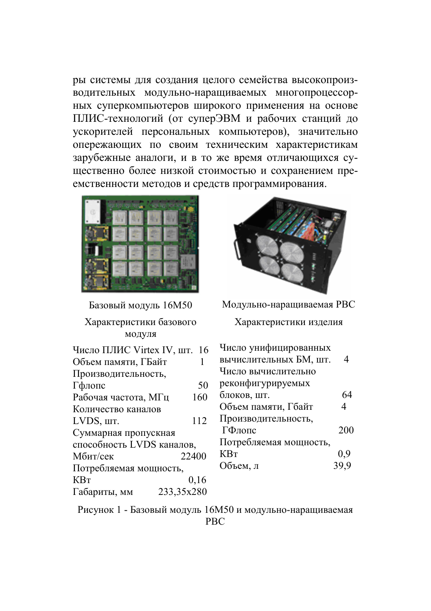ры системы для создания целого семейства высокопроизводительных модульно-наращиваемых многопроцессорных суперкомпьютеров широкого применения на основе ПЛИС-технологий (от суперЭВМ и рабочих станций до ускорителей персональных компьютеров), значительно опережающих по своим техническим характеристикам зарубежные аналоги, и в то же время отличающихся существенно более низкой стоимостью и сохранением преемственности методов и средств программирования.



Базовый модуль 16М50 Характеристики базового модуля Число ПЛИС Virtex IV, шт. 16 Объем памяти, ГБайт  $\mathbf{1}$ Производительность, 50 Гфлопс Рабочая частота, МГц 160 Количество каналов LVDS, IIIT. 112 Суммарная пропускная способность LVDS каналов. 22400 Мбит/сек Потребляемая мощность,  $KBr$ 0.16 Габариты, мм 233,35x280



Модульно-наращиваемая РВС

Характеристики изделия

| Число унифицированных  |                |
|------------------------|----------------|
| вычислительных БМ, шт. | 4              |
| Число вычислительно    |                |
| реконфигурируемых      |                |
| блоков, шт.            | 64             |
| Объем памяти, Гбайт    | $\overline{4}$ |
| Производительность,    |                |
| ГФлопс                 | 200            |
| Потребляемая мощность, |                |
| KВт                    | 0,9            |
| Объем, л               | 39,9           |

Рисунок 1 - Базовый модуль 16М50 и модульно-наращиваемая **PBC**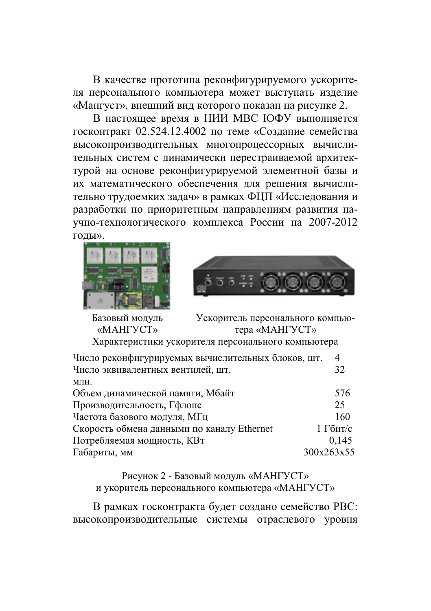В качестве прототипа реконфигурируемого ускорителя персонального компьютера может выступать изделие «Мангуст», внешний вид которого показан на рисунке 2.

В настоящее время в НИИ МВС ЮФУ выполняется госконтракт 02.524.12.4002 по теме «Создание семейства высокопроизводительных многопроцессорных вычислительных систем с динамически перестраиваемой архитектурой на основе реконфигурируемой элементной базы и их математического обеспечения для решения вычислительно трудоемких задач» в рамках ФЦП «Исследования и разработки по приоритетным направлениям развития научно-технологического комплекса России на 2007-2012 голы».





Базовый модуль Ускоритель персонального компью-**«MAHEVCT»** тера «МАНГУСТ» Характеристики ускорителя персонального компьютера

| Число реконфигурируемых вычислительных блоков, шт. | 4          |
|----------------------------------------------------|------------|
| Число эквивалентных вентилей, шт.                  | 32         |
| МЛН.                                               |            |
| Объем динамической памяти, Мбайт                   | 576        |
| Производительность, Гфлопс                         | 25         |
| Частота базового модуля, МГц                       | 160        |
| Скорость обмена данными по каналу Ethernet         | 1 Гбит/с   |
| Потребляемая мощность, КВт                         | 0,145      |
| Габариты, мм                                       | 300x263x55 |

Рисунок 2 - Базовый модуль «МАНГУСТ» и укоритель персонального компьютера «МАНГУСТ»

В рамках госконтракта будет создано семейство РВС: высокопроизводительные системы отраслевого уровня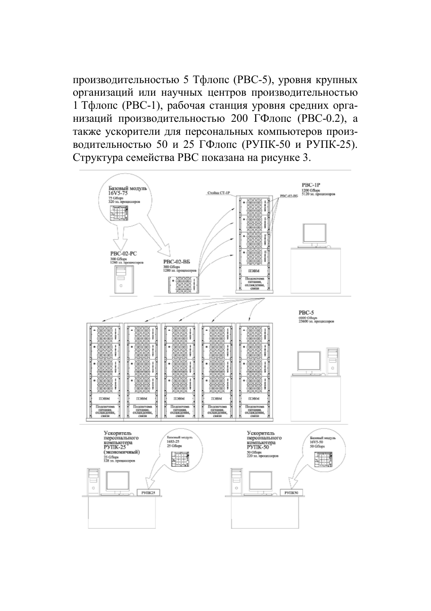производительностью 5 Тфлопс (РВС-5), уровня крупных организаций или научных центров производительностью 1 Тфлопс (РВС-1), рабочая станция уровня средних организаций производительностью 200 ГФлопс (РВС-0.2), а также ускорители для персональных компьютеров производительностью 50 и 25 ГФлопс (РУПК-50 и РУПК-25). Структура семейства РВС показана на рисунке 3.

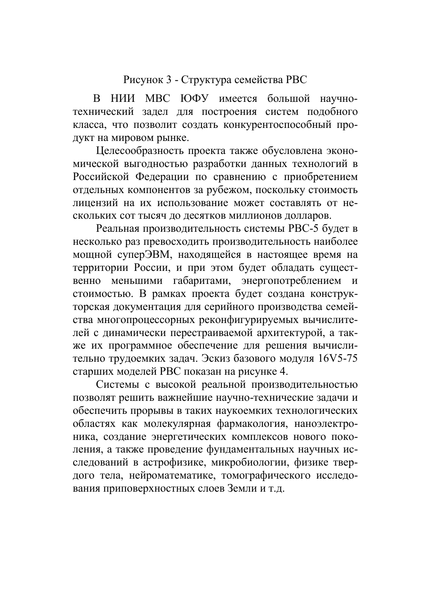## Рисунок 3 - Структура семейства РВС

В НИИ МВС ЮФУ имеется большой научнотехнический задел для построения систем подобного класса, что позволит создать конкурентоспособный пролукт на мировом рынке.

Пелесообразность проекта также обусловлена экономической выгодностью разработки данных технологий в Российской Федерации по сравнению с приобретением отдельных компонентов за рубежом, поскольку стоимость лицензий на их использование может составлять от нескольких сот тысяч до десятков миллионов долларов.

Реальная производительность системы РВС-5 будет в несколько раз превосходить производительность наиболее мощной суперЭВМ, находящейся в настоящее время на территории России, и при этом будет обладать существенно меньшими габаритами, энергопотреблением и стоимостью. В рамках проекта будет создана конструкторская документация для серийного производства семейства многопроцессорных реконфигурируемых вычислителей с динамически перестраиваемой архитектурой, а также их программное обеспечение для решения вычислительно трудоемких задач. Эскиз базового модуля 16V5-75 старших моделей РВС показан на рисунке 4.

Системы с высокой реальной производительностью позволят решить важнейшие научно-технические задачи и обеспечить прорывы в таких наукоемких технологических областях как молекулярная фармакология, наноэлектроника, создание энергетических комплексов нового поколения, а также проведение фундаментальных научных исследований в астрофизике, микробиологии, физике твердого тела, нейроматематике, томографического исследования приповерхностных слоев Земли и т.д.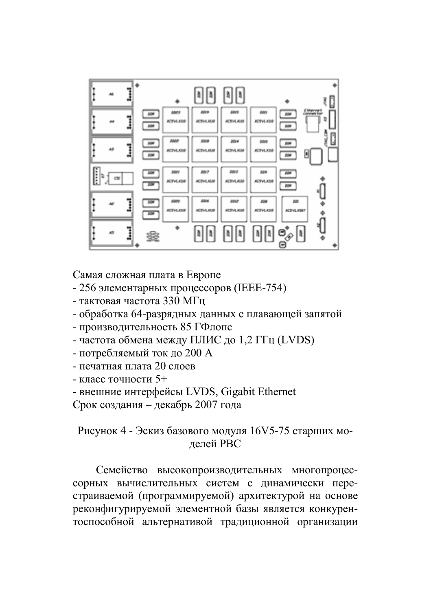

Самая сложная плата в Европе

- 256 элементарных процессоров (IEEE-754)
- тактовая частота 330 МГц
- обработка 64-разрядных данных с плавающей запятой
- производительность 85 ГФлопс
- частота обмена между ПЛИС до 1,2 ГГц (LVDS)
- потребляемый ток до 200 А
- печатная плата 20 слоев
- $-$  класс точности 5+
- внешние интерфейсы LVDS, Gigabit Ethernet
- Срок создания декабрь 2007 года

## Рисунок 4 - Эскиз базового модуля 16V5-75 старших моделей РВС

Семейство высокопроизводительных многопроцессорных вычислительных систем с динамически перестраиваемой (программируемой) архитектурой на основе реконфигурируемой элементной базы является конкурентоспособной альтернативой традиционной организации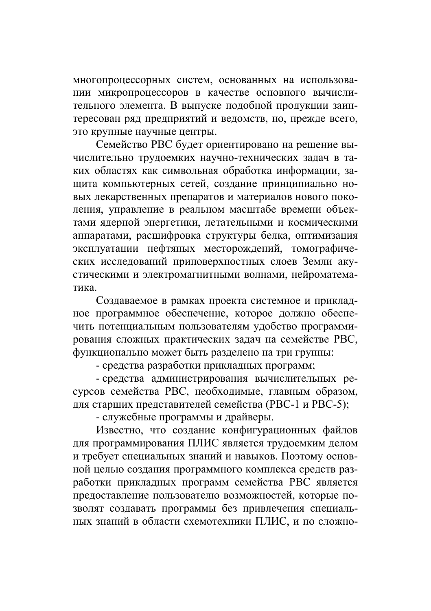многопроцессорных систем, основанных на использовании микропроцессоров в качестве основного вычислительного элемента. В выпуске подобной продукции заинтересован ряд предприятий и ведомств, но, прежде всего, это крупные научные центры.

Семейство РВС булет ориентировано на решение вычислительно трудоемких научно-технических задач в таких областях как символьная обработка информации, защита компьютерных сетей, создание принципиально новых лекарственных препаратов и материалов нового поколения, управление в реальном масштабе времени объектами ядерной энергетики, летательными и космическими аппаратами, расшифровка структуры белка, оптимизация эксплуатации нефтяных месторождений, томографических исследований приповерхностных слоев Земли акустическими и электромагнитными волнами, нейроматематика

Создаваемое в рамках проекта системное и прикладное программное обеспечение, которое должно обеспечить потенциальным пользователям удобство программирования сложных практических задач на семействе РВС, функционально может быть разделено на три группы:

- средства разработки прикладных программ;

- средства администрирования вычислительных ресурсов семейства РВС, необходимые, главным образом, для старших представителей семейства (РВС-1 и РВС-5);

- служебные программы и драйверы.

Известно, что создание конфигурационных файлов для программирования ПЛИС является трудоемким делом и требует специальных знаний и навыков. Поэтому основной целью создания программного комплекса средств разработки прикладных программ семейства РВС является предоставление пользователю возможностей, которые позволят создавать программы без привлечения специальных знаний в области схемотехники ПЛИС, и по сложно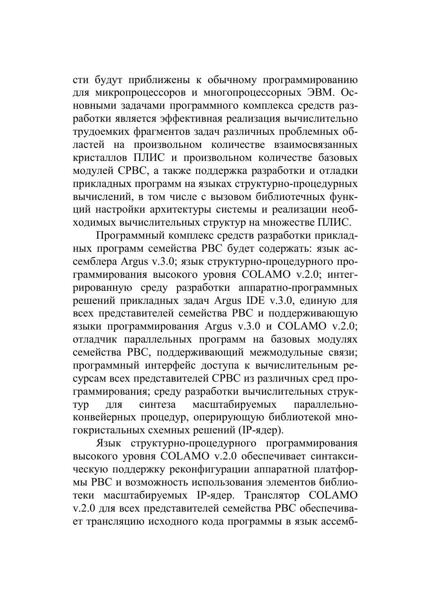сти будут приближены к обычному программированию для микропроцессоров и многопроцессорных ЭВМ. Основными задачами программного комплекса средств разработки является эффективная реализация вычислительно трудоемких фрагментов задач различных проблемных областей на произвольном количестве взаимосвязанных кристаллов ПЛИС и произвольном количестве базовых модулей СРВС, а также поддержка разработки и отладки прикладных программ на языках структурно-процедурных вычислений, в том числе с вызовом библиотечных функций настройки архитектуры системы и реализации необходимых вычислительных структур на множестве ПЛИС.

Программный комплекс средств разработки прикладных программ семейства РВС будет содержать: язык ассемблера Argus v.3.0; язык структурно-процедурного программирования высокого уровня COLAMO v.2.0; интегрированную среду разработки аппаратно-программных решений прикладных задач Argus IDE v.3.0, единую для всех представителей семейства РВС и поддерживающую языки программирования Argus v.3.0 и COLAMO v.2.0; отладчик параллельных программ на базовых модулях семейства РВС, поддерживающий межмодульные связи; программный интерфейс доступа к вычислительным ресурсам всех представителей СРВС из различных сред программирования; среду разработки вычислительных струкмасштабируемых ЛЛЯ синтеза параллельно-TVD конвейерных процедур, оперирующую библиотекой многокристальных схемных решений (IP-ядер).

Язык структурно-процедурного программирования высокого уровня COLAMO v.2.0 обеспечивает синтаксическую поддержку реконфигурации аппаратной платформы РВС и возможность использования элементов библиотеки масштабируемых IP-ядер. Транслятор СОLAМО v.2.0 для всех представителей семейства РВС обеспечивает трансляцию исходного кода программы в язык ассемб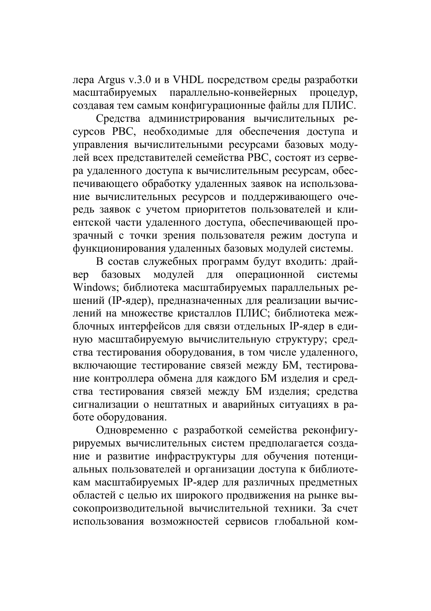лера Argus v.3.0 и в VHDL посредством среды разработки масштабируемых параллельно-конвейерных процедур, создавая тем самым конфигурационные файлы для ПЛИС.

Средства администрирования вычислительных ресурсов РВС, необходимые для обеспечения доступа и управления вычислительными ресурсами базовых модулей всех представителей семейства РВС, состоят из сервера удаленного доступа к вычислительным ресурсам, обеспечивающего обработку удаленных заявок на использование вычислительных ресурсов и поддерживающего очередь заявок с учетом приоритетов пользователей и клиентской части удаленного доступа, обеспечивающей прозрачный с точки зрения пользователя режим доступа и функционирования удаленных базовых модулей системы.

В состав служебных программ будут входить: драймодулей для операционной базовых системы **Ben** Windows; библиотека масштабируемых параллельных решений (IP-ядер), предназначенных для реализации вычислений на множестве кристаллов ПЛИС; библиотека межблочных интерфейсов для связи отдельных IP-ядер в единую масштабируемую вычислительную структуру; средства тестирования оборудования, в том числе удаленного, включающие тестирование связей между БМ, тестирование контроллера обмена для каждого БМ изделия и средства тестирования связей между БМ изделия; средства сигнализации о нештатных и аварийных ситуациях в работе оборудования.

Одновременно с разработкой семейства реконфигурируемых вычислительных систем предполагается создание и развитие инфраструктуры для обучения потенциальных пользователей и организации доступа к библиотекам масштабируемых IP-ядер для различных предметных областей с целью их широкого продвижения на рынке высокопроизводительной вычислительной техники. За счет использования возможностей сервисов глобальной ком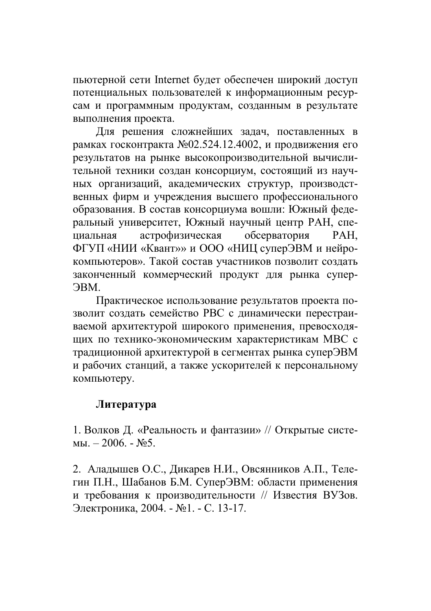пьютерной сети Internet будет обеспечен широкий доступ потенциальных пользователей к информационным ресурсам и программным продуктам, созданным в результате выполнения проекта.

Лля решения сложнейших залач. поставленных в рамках госконтракта №02.524.12.4002. и продвижения его результатов на рынке высокопроизводительной вычислительной техники создан консорциум, состоящий из научных организаций, академических структур, производственных фирм и учреждения высшего профессионального образования. В состав консорциума вошли: Южный федеральный университет. Южный научный центр РАН, спеастрофизическая обсерватория ниальная PAH. ФГУП «НИИ «Квант»» и ООО «НИЦ суперЭВМ и нейрокомпьютеров». Такой состав участников позволит создать законченный коммерческий продукт для рынка супер-**OBM.** 

Практическое использование результатов проекта позволит создать семейство РВС с динамически перестраиваемой архитектурой широкого применения, превосходящих по технико-экономическим характеристикам МВС с традиционной архитектурой в сегментах рынка суперЭВМ и рабочих станций, а также ускорителей к персональному компьютеру.

## Литература

1. Волков Д. «Реальность и фантазии» // Открытые систе- $M_{\rm BL} - 2006. - M_{\rm B}$ 

2. Аладышев О.С., Дикарев Н.И., Овсянников А.П., Телегин П.Н., Шабанов Б.М. СуперЭВМ: области применения и требования к производительности // Известия ВУЗов. Электроника, 2004. - №1. - С. 13-17.